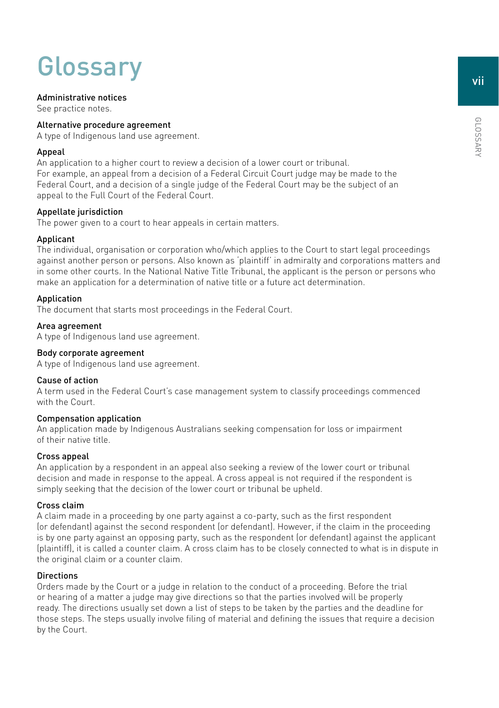# **Glossary**

# Administrative notices

See practice notes.

# Alternative procedure agreement

A type of Indigenous land use agreement.

# Appeal

An application to a higher court to review a decision of a lower court or tribunal. For example, an appeal from a decision of a Federal Circuit Court judge may be made to the Federal Court, and a decision of a single judge of the Federal Court may be the subject of an appeal to the Full Court of the Federal Court.

# Appellate jurisdiction

The power given to a court to hear appeals in certain matters.

# Applicant

The individual, organisation or corporation who/which applies to the Court to start legal proceedings against another person or persons. Also known as 'plaintiff' in admiralty and corporations matters and in some other courts. In the National Native Title Tribunal, the applicant is the person or persons who make an application for a determination of native title or a future act determination.

# Application

The document that starts most proceedings in the Federal Court.

# Area agreement

A type of Indigenous land use agreement.

# Body corporate agreement

A type of Indigenous land use agreement.

# Cause of action

A term used in the Federal Court's case management system to classify proceedings commenced with the Court.

# Compensation application

An application made by Indigenous Australians seeking compensation for loss or impairment of their native title.

# Cross appeal

An application by a respondent in an appeal also seeking a review of the lower court or tribunal decision and made in response to the appeal. A cross appeal is not required if the respondent is simply seeking that the decision of the lower court or tribunal be upheld.

## Cross claim

A claim made in a proceeding by one party against a co-party, such as the first respondent (or defendant) against the second respondent (or defendant). However, if the claim in the proceeding is by one party against an opposing party, such as the respondent (or defendant) against the applicant (plaintiff), it is called a counter claim. A cross claim has to be closely connected to what is in dispute in the original claim or a counter claim.

# **Directions**

Orders made by the Court or a judge in relation to the conduct of a proceeding. Before the trial or hearing of a matter a judge may give directions so that the parties involved will be properly ready. The directions usually set down a list of steps to be taken by the parties and the deadline for those steps. The steps usually involve filing of material and defining the issues that require a decision by the Court.

GLOSSARY GLOSSARY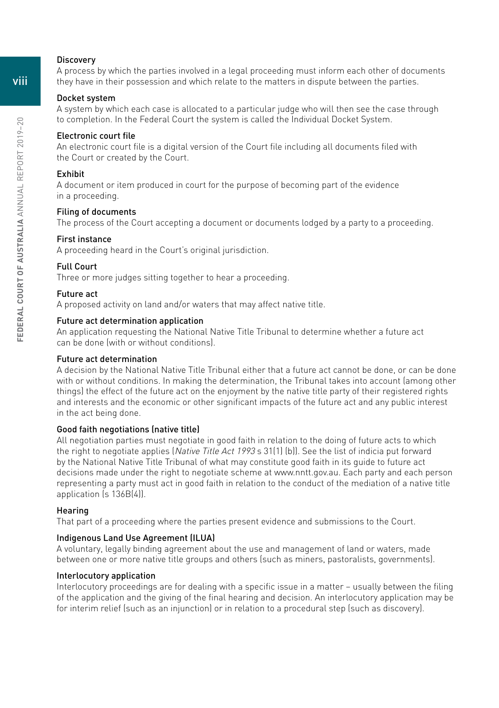## **Discovery**

A process by which the parties involved in a legal proceeding must inform each other of documents they have in their possession and which relate to the matters in dispute between the parties.

## Docket system

A system by which each case is allocated to a particular judge who will then see the case through to completion. In the Federal Court the system is called the Individual Docket System.

#### Electronic court file

An electronic court file is a digital version of the Court file including all documents filed with the Court or created by the Court.

# Exhibit

A document or item produced in court for the purpose of becoming part of the evidence in a proceeding.

## Filing of documents

The process of the Court accepting a document or documents lodged by a party to a proceeding.

#### First instance

A proceeding heard in the Court's original jurisdiction.

#### Full Court

Three or more judges sitting together to hear a proceeding.

## Future act

A proposed activity on land and/or waters that may affect native title.

## Future act determination application

An application requesting the National Native Title Tribunal to determine whether a future act can be done (with or without conditions).

#### Future act determination

A decision by the National Native Title Tribunal either that a future act cannot be done, or can be done with or without conditions. In making the determination, the Tribunal takes into account (among other things) the effect of the future act on the enjoyment by the native title party of their registered rights and interests and the economic or other significant impacts of the future act and any public interest in the act being done.

# Good faith negotiations (native title)

All negotiation parties must negotiate in good faith in relation to the doing of future acts to which the right to negotiate applies (Native Title Act 1993 s 31(1) (b)). See the list of indicia put forward by the National Native Title Tribunal of what may constitute good faith in its guide to future act decisions made under the right to negotiate scheme at [www.nntt.gov.au.](http://www.nntt.gov.au) Each party and each person representing a party must act in good faith in relation to the conduct of the mediation of a native title application (s 136B(4)).

#### **Hearing**

That part of a proceeding where the parties present evidence and submissions to the Court.

## Indigenous Land Use Agreement (ILUA)

A voluntary, legally binding agreement about the use and management of land or waters, made between one or more native title groups and others (such as miners, pastoralists, governments).

## Interlocutory application

Interlocutory proceedings are for dealing with a specific issue in a matter – usually between the filing of the application and the giving of the final hearing and decision. An interlocutory application may be for interim relief (such as an injunction) or in relation to a procedural step (such as discovery).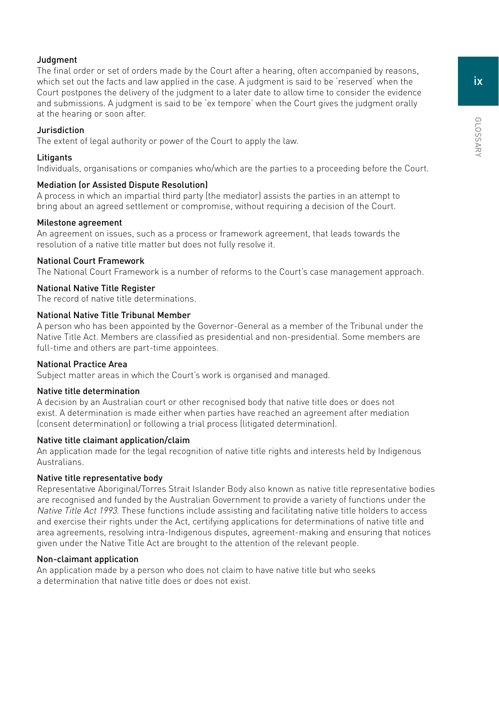# **Judgment**

The final order or set of orders made by the Court after a hearing, often accompanied by reasons, which set out the facts and law applied in the case. A judgment is said to be 'reserved' when the Court postpones the delivery of the judgment to a later date to allow time to consider the evidence and submissions. A judgment is said to be 'ex tempore' when the Court gives the judgment orally at the hearing or soon after.

# Jurisdiction

The extent of legal authority or power of the Court to apply the law.

# **Litigants**

Individuals, organisations or companies who/which are the parties to a proceeding before the Court.

# Mediation (or Assisted Dispute Resolution)

A process in which an impartial third party (the mediator) assists the parties in an attempt to bring about an agreed settlement or compromise, without requiring a decision of the Court.

# Milestone agreement

An agreement on issues, such as a process or framework agreement, that leads towards the resolution of a native title matter but does not fully resolve it.

# National Court Framework

The National Court Framework is a number of reforms to the Court's case management approach.

# National Native Title Register

The record of native title determinations.

# National Native Title Tribunal Member

A person who has been appointed by the Governor-General as a member of the Tribunal under the Native Title Act. Members are classified as presidential and non-presidential. Some members are full-time and others are part-time appointees.

# National Practice Area

Subject matter areas in which the Court's work is organised and managed.

# Native title determination

A decision by an Australian court or other recognised body that native title does or does not exist. A determination is made either when parties have reached an agreement after mediation (consent determination) or following a trial process (litigated determination).

# Native title claimant application/claim

An application made for the legal recognition of native title rights and interests held by Indigenous Australians.

# Native title representative body

Representative Aboriginal/Torres Strait Islander Body also known as native title representative bodies are recognised and funded by the Australian Government to provide a variety of functions under the Native Title Act 1993. These functions include assisting and facilitating native title holders to access and exercise their rights under the Act, certifying applications for determinations of native title and area agreements, resolving intra-Indigenous disputes, agreement-making and ensuring that notices given under the Native Title Act are brought to the attention of the relevant people.

# Non-claimant application

An application made by a person who does not claim to have native title but who seeks a determination that native title does or does not exist.

GLOSSARY GLOSSARY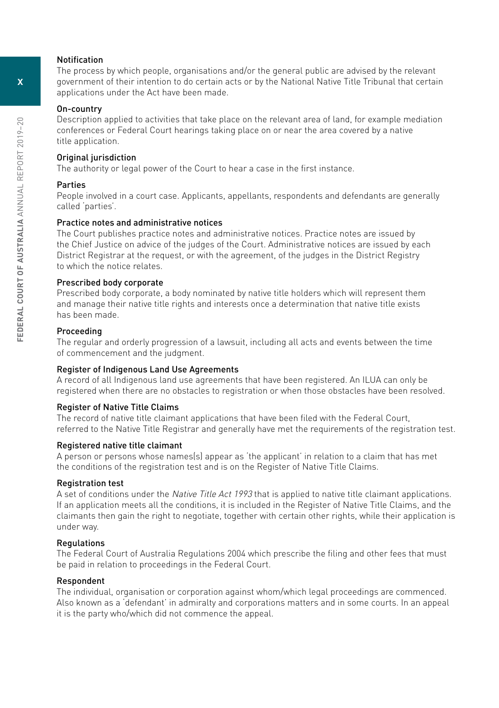## Notification

The process by which people, organisations and/or the general public are advised by the relevant government of their intention to do certain acts or by the National Native Title Tribunal that certain applications under the Act have been made.

## On-country

Description applied to activities that take place on the relevant area of land, for example mediation conferences or Federal Court hearings taking place on or near the area covered by a native title application.

# Original jurisdiction

The authority or legal power of the Court to hear a case in the first instance.

# Parties

People involved in a court case. Applicants, appellants, respondents and defendants are generally called 'parties'.

## Practice notes and administrative notices

The Court publishes practice notes and administrative notices. Practice notes are issued by the Chief Justice on advice of the judges of the Court. Administrative notices are issued by each District Registrar at the request, or with the agreement, of the judges in the District Registry to which the notice relates.

## Prescribed body corporate

Prescribed body corporate, a body nominated by native title holders which will represent them and manage their native title rights and interests once a determination that native title exists has been made.

## Proceeding

The regular and orderly progression of a lawsuit, including all acts and events between the time of commencement and the judgment.

# Register of Indigenous Land Use Agreements

A record of all Indigenous land use agreements that have been registered. An ILUA can only be registered when there are no obstacles to registration or when those obstacles have been resolved.

## Register of Native Title Claims

The record of native title claimant applications that have been filed with the Federal Court, referred to the Native Title Registrar and generally have met the requirements of the registration test.

## Registered native title claimant

A person or persons whose names(s) appear as 'the applicant' in relation to a claim that has met the conditions of the registration test and is on the Register of Native Title Claims.

## Registration test

A set of conditions under the *Native Title Act 1993* that is applied to native title claimant applications. If an application meets all the conditions, it is included in the Register of Native Title Claims, and the claimants then gain the right to negotiate, together with certain other rights, while their application is under way.

## Regulations

The Federal Court of Australia Regulations 2004 which prescribe the filing and other fees that must be paid in relation to proceedings in the Federal Court.

# Respondent

The individual, organisation or corporation against whom/which legal proceedings are commenced. Also known as a 'defendant' in admiralty and corporations matters and in some courts. In an appeal it is the party who/which did not commence the appeal.